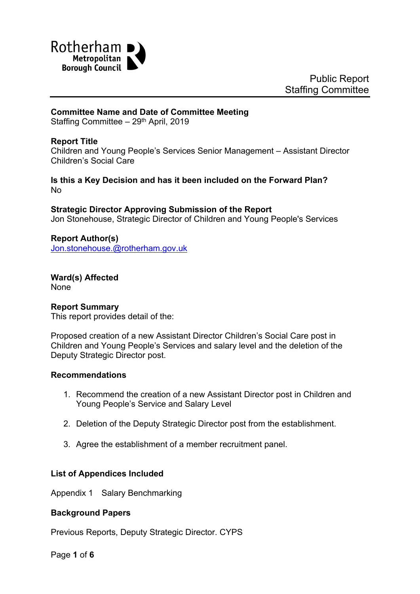

#### **Committee Name and Date of Committee Meeting**

Staffing Committee - 29<sup>th</sup> April, 2019

### **Report Title**

Children and Young People's Services Senior Management – Assistant Director Children's Social Care

#### **Is this a Key Decision and has it been included on the Forward Plan?** No

**Strategic Director Approving Submission of the Report** Jon Stonehouse, Strategic Director of Children and Young People's Services

<span id="page-0-0"></span>**Report Author(s)** [Jon.stonehouse.@rotherham.gov.uk](mailto:Jon.stonehouse.@rotherham.gov.uk)

**Ward(s) Affected** None

#### **Report Summary**

This report provides detail of the:

Proposed creation of a new Assistant Director Children's Social Care post in Children and Young People's Services and salary level and the deletion of the Deputy Strategic Director post.

#### **Recommendations**

- 1. Recommend the creation of a new Assistant Director post in Children and Young People's Service and Salary Level
- 2. Deletion of the Deputy Strategic Director post from the establishment.
- 3. Agree the establishment of a member recruitment panel.

#### **List of Appendices Included**

Appendix 1 Salary Benchmarking

#### **Background Papers**

Previous Reports, Deputy Strategic Director. CYPS

Page **1** of **6**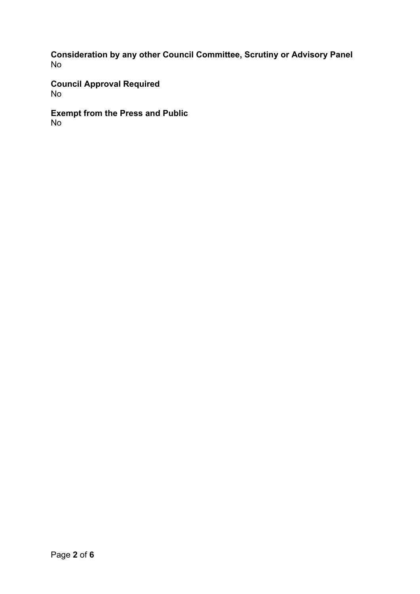**Consideration by any other Council Committee, Scrutiny or Advisory Panel** No

**Council Approval Required** No

**Exempt from the Press and Public** No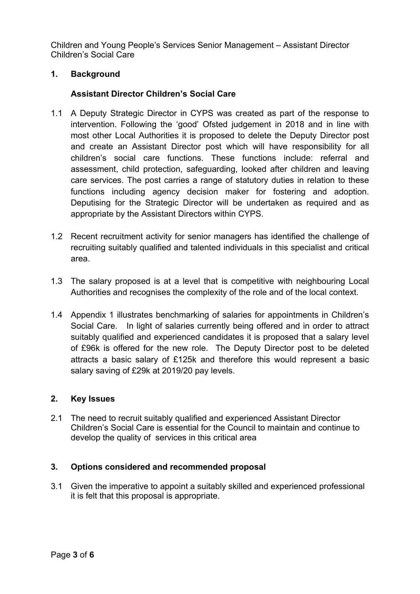Children and Young People's Services Senior Management – Assistant Director Children's Social Care

# **1. Background**

# **Assistant Director Children's Social Care**

- 1.1 A Deputy Strategic Director in CYPS was created as part of the response to intervention. Following the 'good' Ofsted judgement in 2018 and in line with most other Local Authorities it is proposed to delete the Deputy Director post and create an Assistant Director post which will have responsibility for all children's social care functions. These functions include: referral and assessment, child protection, safeguarding, looked after children and leaving care services. The post carries a range of statutory duties in relation to these functions including agency decision maker for fostering and adoption. Deputising for the Strategic Director will be undertaken as required and as appropriate by the Assistant Directors within CYPS.
- 1.2 Recent recruitment activity for senior managers has identified the challenge of recruiting suitably qualified and talented individuals in this specialist and critical area.
- 1.3 The salary proposed is at a level that is competitive with neighbouring Local Authorities and recognises the complexity of the role and of the local context.
- 1.4 Appendix 1 illustrates benchmarking of salaries for appointments in Children's Social Care. In light of salaries currently being offered and in order to attract suitably qualified and experienced candidates it is proposed that a salary level of £96k is offered for the new role. The Deputy Director post to be deleted attracts a basic salary of £125k and therefore this would represent a basic salary saving of £29k at 2019/20 pay levels.

# **2. Key Issues**

2.1 The need to recruit suitably qualified and experienced Assistant Director Children's Social Care is essential for the Council to maintain and continue to develop the quality of services in this critical area

# **3. Options considered and recommended proposal**

3.1 Given the imperative to appoint a suitably skilled and experienced professional it is felt that this proposal is appropriate.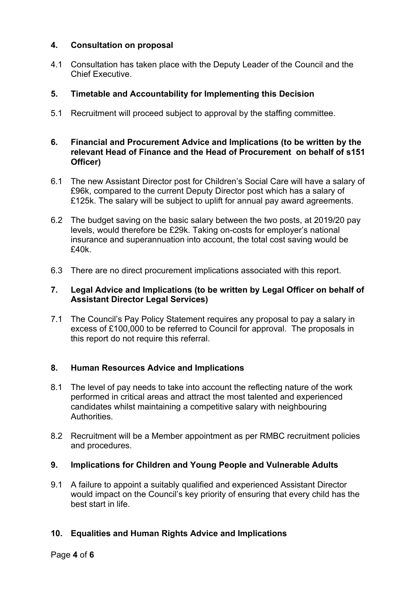# **4. Consultation on proposal**

4.1 Consultation has taken place with the Deputy Leader of the Council and the Chief Executive.

# **5. Timetable and Accountability for Implementing this Decision**

5.1 Recruitment will proceed subject to approval by the staffing committee.

## **6. Financial and Procurement Advice and Implications (to be written by the relevant Head of Finance and the Head of Procurement on behalf of s151 Officer)**

- 6.1 The new Assistant Director post for Children's Social Care will have a salary of £96k, compared to the current Deputy Director post which has a salary of £125k. The salary will be subject to uplift for annual pay award agreements.
- 6.2 The budget saving on the basic salary between the two posts, at 2019/20 pay levels, would therefore be £29k. Taking on-costs for employer's national insurance and superannuation into account, the total cost saving would be £40k.
- 6.3 There are no direct procurement implications associated with this report.

## **7. Legal Advice and Implications (to be written by Legal Officer on behalf of Assistant Director Legal Services)**

7.1 The Council's Pay Policy Statement requires any proposal to pay a salary in excess of £100,000 to be referred to Council for approval. The proposals in this report do not require this referral.

## **8. Human Resources Advice and Implications**

- 8.1 The level of pay needs to take into account the reflecting nature of the work performed in critical areas and attract the most talented and experienced candidates whilst maintaining a competitive salary with neighbouring **Authorities**
- 8.2 Recruitment will be a Member appointment as per RMBC recruitment policies and procedures.

## **9. Implications for Children and Young People and Vulnerable Adults**

9.1 A failure to appoint a suitably qualified and experienced Assistant Director would impact on the Council's key priority of ensuring that every child has the best start in life.

## **10. Equalities and Human Rights Advice and Implications**

#### Page **4** of **6**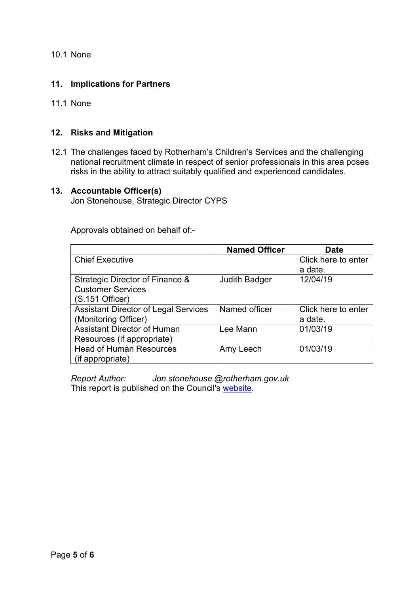10.1 None

## **11. Implications for Partners**

11.1 None

### **12. Risks and Mitigation**

12.1 The challenges faced by Rotherham's Children's Services and the challenging national recruitment climate in respect of senior professionals in this area poses risks in the ability to attract suitably qualified and experienced candidates.

#### **13. Accountable Officer(s)**

Jon Stonehouse, Strategic Director CYPS

Approvals obtained on behalf of:-

|                                             | <b>Named Officer</b> | Date                |
|---------------------------------------------|----------------------|---------------------|
| <b>Chief Executive</b>                      |                      | Click here to enter |
|                                             |                      | a date.             |
| Strategic Director of Finance &             | <b>Judith Badger</b> | 12/04/19            |
| <b>Customer Services</b>                    |                      |                     |
| (S.151 Officer)                             |                      |                     |
| <b>Assistant Director of Legal Services</b> | Named officer        | Click here to enter |
| (Monitoring Officer)                        |                      | a date.             |
| <b>Assistant Director of Human</b>          | Lee Mann             | 01/03/19            |
| Resources (if appropriate)                  |                      |                     |
| <b>Head of Human Resources</b>              | Amy Leech            | 01/03/19            |
| (if appropriate)                            |                      |                     |

*Report Author: [Jon.stonehouse.@rotherham.gov.uk](#page-0-0)* This report is published on the Council's [website.](https://moderngov.rotherham.gov.uk/ieDocHome.aspx?Categories=)